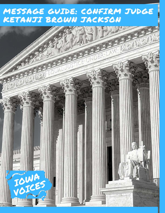## MESSAGE GUIDE: CONFIRM JUDGE KETANJI BROWN JACKSON

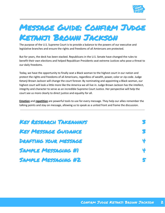

# Message Guide: Confirm Judge

#### Ketanji Brown Jackson

The purpose of the U.S. Supreme Court is to provide a balance to the powers of our executive and legislative branches and ensure the rights and freedoms of all Amiercans are protected.

But for years, the deck has been stacked. Republicans in the U.S. Senate have changed the rules to benefit their own elections and helped Republican Presidents seat extreme Justices who pose a threat to our daily freedoms.

Today, we have the opportunity to finally seat a Black woman to the highest court in our nation and protect the rights and freedoms of all Americans, regardless of wealth, power, color or zip code. Judge Ketanji Brown Jackson will change the court forever. By nominating and appointing a Black woman, our highest court will look a little more like the America we all live in. Judge Brown Jackson has the intellect, integrity and character to serve as an incredible Supreme Court Justice. Her perspective will help the court see us more clearly to direct justice and equality for all.

**Emotion** and **repetition** are powerful tools to use for every message. They help our allies remember the talking points and stay on message, allowing us to speak as a united front and frame the discussion.

| KEY RESEARCH TAKEAWAYS       | S |
|------------------------------|---|
| <b>KEY MESSAGE GUIDANCE</b>  | S |
| <b>DRAFTING YOUR MESSAGE</b> | ¥ |
| <b>SAMPLE MESSAGING #1</b>   | ų |
| <b>SAMPLE MESSAGING #2</b>   | S |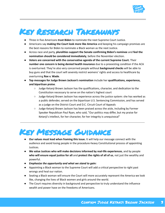

#### <span id="page-2-0"></span>Key Research Takeaways

- Three in five Americans **trust Biden** to nominate the next Supreme Court Justice.
- Americans say **making the Court look more like America** and keeping his campaign promises are the best reasons for Biden to nominate a Black woman as the next Justice.
- Across race and party, **pluralities support the Senate confirming Biden's nominee** and **feel the nomination should be considered immediately**, before the November election.
- **Voters are concerned with the conservative agenda of the current Supreme Court.** Their **number one concern is being denied health insurance** due to a preexisting condition if the ACA is overturned. They're also very concerned people without **background checks** will be able to buy guns and that the court will severely restrict womens' rights and access to healthcare by overturning **Roe v. Wade**.
- **Top messages for Judge Brown Jackson's nomination** include her **qualifications, experience, and bipartisan praise**.
	- Judge Ketanji Brown Jackson has the qualifications, character, and dedication to the Constitution necessary to serve on the nation's highest court
	- Judge Ketanji Brown Jackson has experience across the justice system: she has worked as a public defender, served on the bipartisan U.S. Sentencing Commission, and has served as a judge on the District Court and D.C. Circuit Court of Appeals
	- Judge Ketanji Brown Jackson has been praised across the aisle, including by Former Speaker Republican Paul Ryan, who said, "Our politics may differ, but my praise for Ketanji's intellect, for her character, for her integrity is unequivocal"

## <span id="page-2-1"></span>Key Message Guidance

- **Our values must lead when framing this issue.** It will help our message connect with the audience and avoid losing people in the procedure-heavy Constitutional process of appointing Justices.
- **We value Justices who will make decisions informed by real-life experiences**, and by people **who will ensure equal justice for all** and **protect the rights of all of us**, not just the wealthy and powerful.
- *● Emphasize the opportunity and what we stand to gain:*
- Appointing a Black woman to the Supreme Court will add a critical perspective to right past wrongs and heal our nation.
- Seating a Black woman will ensure the Court will more accurately represent the America we look like, changing the lives of Black women and girls around the world.
- The Court requires diversity in background and perspective to truly understand the influence wealth and power have on the freedoms of Americans.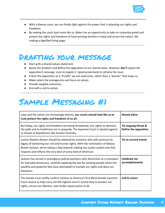

- With a diverse court, we can finally fight against the power that is attacking our rights and freedoms.
- By making the court look more like us, Biden has an opportunity to take on corporate greed and protect the rights and freedoms of hard working families in Iowa and across the nation, like making a dignified living wage.

#### <span id="page-3-0"></span>Drafting your message

- Start with a shared values statement.
- Name the problem and define the opposition to our shared value. *However, don't repeat the opposition's message, even to negate it. Speak proactively to reframe the issue.*
- Frame the opposition as a "hurdle" we can overcome, rather than a "barrier" that stops us.
- Make voters the protagonists and focus on values.
- Provide tangible outcomes.
- End with a call to action.

## <span id="page-3-1"></span>Sample Messaging #1

| lowa and the nation are increasingly diverse, our courts should look like us to<br>truly protect the rights and freedoms of us all.                                                                                                                                                                              | <b>Shared Value</b>                           |
|------------------------------------------------------------------------------------------------------------------------------------------------------------------------------------------------------------------------------------------------------------------------------------------------------------------|-----------------------------------------------|
| But today, our rights and freedoms are being threatened. Our rights to abortion,<br>the polls and to healthcare are in jeopardy. The Supreme Court is stacked against<br>us thanks to Republicans like Senator Grassley.                                                                                         | Tie ongoing threat &<br>Define the opposition |
| Justice Stephen Breyer should be replaced by someone who will continue his<br>legacy of bolstering our civil and human rights. With the nomination of Ketanji<br>Brown Jackson, we're taking a step towards making our justice system one that<br>respects and reflects the very best of every kind of American. | Tie to current events                         |
| Jackson has served in prestigious judicial positions with distinction as a champion<br>for everyday Americans, carefully applying the law for working people when the<br>wealthy and powerful few have attempted to trample our rights and deny our<br>freedoms.                                                 | <b>Celebrate her</b><br>accomplishments       |
| The Senate must swiftly confirm Jackson as America's first Black female Supreme<br>Court Justice to help carry out the highest court's sacred duty to protect our<br>rights, secure our liberties, and render equal justice to all.                                                                              | Call to action                                |